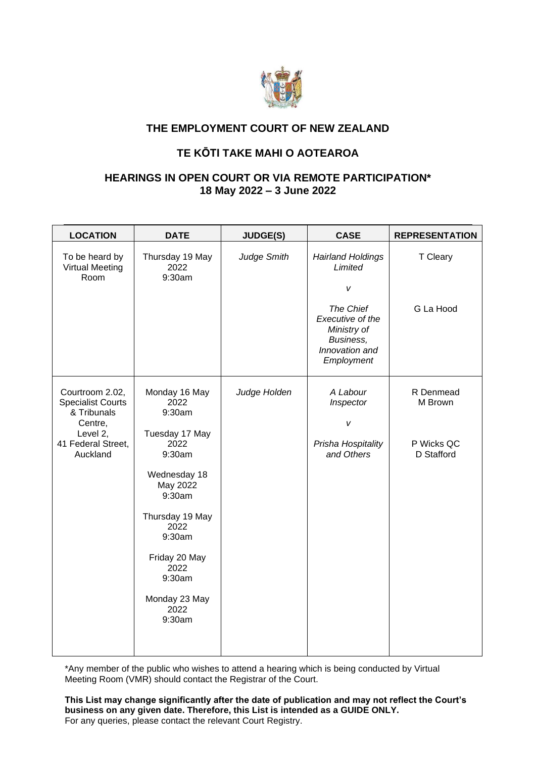

## **THE EMPLOYMENT COURT OF NEW ZEALAND**

## **TE KŌTI TAKE MAHI O AOTEAROA**

## **HEARINGS IN OPEN COURT OR VIA REMOTE PARTICIPATION\* 18 May 2022 – 3 June 2022**

| <b>LOCATION</b>                                                                                                     | <b>DATE</b>                                                                                                                                                                                                          | <b>JUDGE(S)</b> | <b>CASE</b>                                                                                                                           | <b>REPRESENTATION</b>                            |
|---------------------------------------------------------------------------------------------------------------------|----------------------------------------------------------------------------------------------------------------------------------------------------------------------------------------------------------------------|-----------------|---------------------------------------------------------------------------------------------------------------------------------------|--------------------------------------------------|
| To be heard by<br><b>Virtual Meeting</b><br>Room                                                                    | Thursday 19 May<br>2022<br>9:30am                                                                                                                                                                                    | Judge Smith     | <b>Hairland Holdings</b><br>Limited<br>v<br>The Chief<br>Executive of the<br>Ministry of<br>Business,<br>Innovation and<br>Employment | T Cleary<br>G La Hood                            |
| Courtroom 2.02,<br><b>Specialist Courts</b><br>& Tribunals<br>Centre,<br>Level 2,<br>41 Federal Street,<br>Auckland | Monday 16 May<br>2022<br>9:30am<br>Tuesday 17 May<br>2022<br>9:30am<br>Wednesday 18<br>May 2022<br>9:30am<br>Thursday 19 May<br>2022<br>9:30am<br>Friday 20 May<br>2022<br>9:30am<br>Monday 23 May<br>2022<br>9:30am | Judge Holden    | A Labour<br>Inspector<br>v<br>Prisha Hospitality<br>and Others                                                                        | R Denmead<br>M Brown<br>P Wicks QC<br>D Stafford |

\*Any member of the public who wishes to attend a hearing which is being conducted by Virtual Meeting Room (VMR) should contact the Registrar of the Court.

**This List may change significantly after the date of publication and may not reflect the Court's business on any given date. Therefore, this List is intended as a GUIDE ONLY.**  For any queries, please contact the relevant Court Registry.